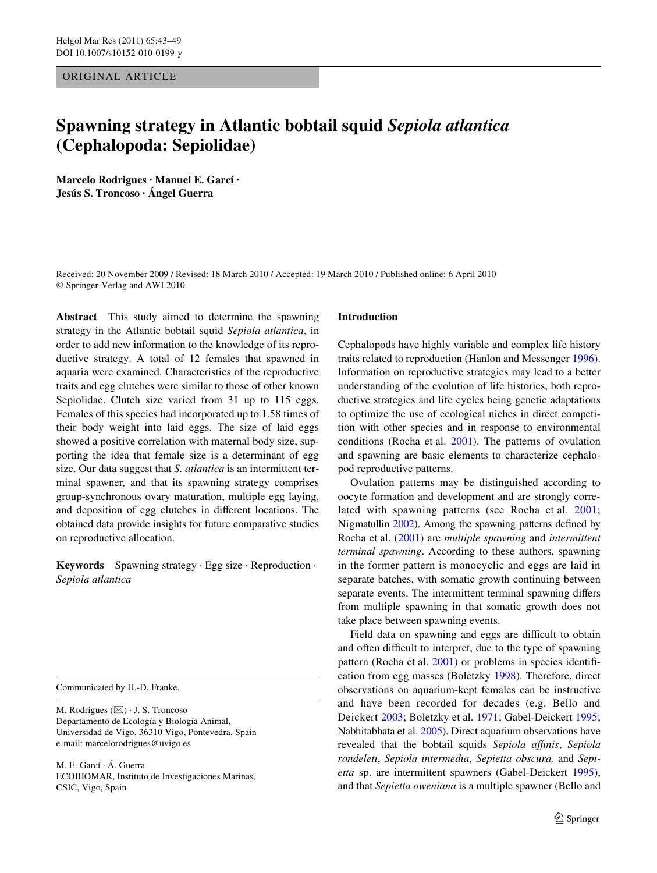## ORIGINAL ARTICLE

# **Spawning strategy in Atlantic bobtail squid** *Sepiola atlantica* **(Cephalopoda: Sepiolidae)**

**Marcelo Rodrigues · Manuel E. Garcí · Jesús S. Troncoso · Ángel Guerra** 

Received: 20 November 2009 / Revised: 18 March 2010 / Accepted: 19 March 2010 / Published online: 6 April 2010 © Springer-Verlag and AWI 2010

**Abstract** This study aimed to determine the spawning strategy in the Atlantic bobtail squid *Sepiola atlantica*, in order to add new information to the knowledge of its reproductive strategy. A total of 12 females that spawned in aquaria were examined. Characteristics of the reproductive traits and egg clutches were similar to those of other known Sepiolidae. Clutch size varied from 31 up to 115 eggs. Females of this species had incorporated up to 1.58 times of their body weight into laid eggs. The size of laid eggs showed a positive correlation with maternal body size, supporting the idea that female size is a determinant of egg size. Our data suggest that *S. atlantica* is an intermittent terminal spawner*,* and that its spawning strategy comprises group-synchronous ovary maturation, multiple egg laying, and deposition of egg clutches in different locations. The obtained data provide insights for future comparative studies on reproductive allocation.

**Keywords** Spawning strategy · Egg size · Reproduction · *Sepiola atlantica*

Communicated by H.-D. Franke.

M. Rodrigues  $(\boxtimes) \cdot$  J. S. Troncoso Departamento de Ecología y Biología Animal, Universidad de Vigo, 36310 Vigo, Pontevedra, Spain e-mail: marcelorodrigues@uvigo.es

M. E. Garcí · Á. Guerra ECOBIOMAR, Instituto de Investigaciones Marinas, CSIC, Vigo, Spain

#### **Introduction**

Cephalopods have highly variable and complex life history traits related to reproduction (Hanlon and Messenger [1996](#page-5-0)). Information on reproductive strategies may lead to a better understanding of the evolution of life histories, both reproductive strategies and life cycles being genetic adaptations to optimize the use of ecological niches in direct competition with other species and in response to environmental conditions (Rocha et al. [2001\)](#page-6-0). The patterns of ovulation and spawning are basic elements to characterize cephalopod reproductive patterns.

Ovulation patterns may be distinguished according to oocyte formation and development and are strongly correlated with spawning patterns (see Rocha et al. [2001](#page-6-0); Nigmatullin [2002](#page-6-1)). Among the spawning patterns defined by Rocha et al. ([2001\)](#page-6-0) are *multiple spawning* and *intermittent terminal spawning*. According to these authors, spawning in the former pattern is monocyclic and eggs are laid in separate batches, with somatic growth continuing between separate events. The intermittent terminal spawning differs from multiple spawning in that somatic growth does not take place between spawning events.

Field data on spawning and eggs are difficult to obtain and often difficult to interpret, due to the type of spawning pattern (Rocha et al.  $2001$ ) or problems in species identification from egg masses (Boletzky [1998\)](#page-5-1). Therefore, direct observations on aquarium-kept females can be instructive and have been recorded for decades (e.g. Bello and Deickert [2003](#page-5-2); Boletzky et al. [1971;](#page-5-3) Gabel-Deickert [1995;](#page-5-4) Nabhitabhata et al. [2005\)](#page-5-5). Direct aquarium observations have revealed that the bobtail squids *Sepiola aYnis*, *Sepiola rondeleti*, *Sepiola intermedia*, *Sepietta obscura,* and *Sepietta* sp. are intermittent spawners (Gabel-Deickert [1995](#page-5-4)), and that *Sepietta oweniana* is a multiple spawner (Bello and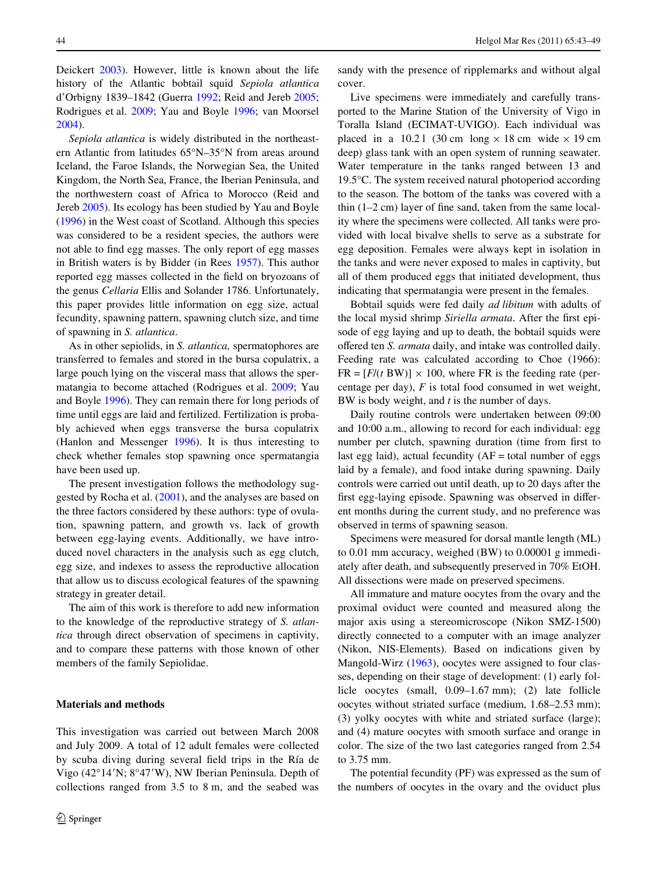Deickert [2003](#page-5-2)). However, little is known about the life history of the Atlantic bobtail squid *Sepiola atlantica* d'Orbigny 1839–1842 (Guerra [1992;](#page-5-6) Reid and Jereb [2005](#page-6-2); Rodrigues et al. [2009;](#page-6-3) Yau and Boyle [1996](#page-6-4); van Moorsel [2004](#page-6-6)).

*Sepiola atlantica* is widely distributed in the northeastern Atlantic from latitudes 65°N–35°N from areas around Iceland, the Faroe Islands, the Norwegian Sea, the United Kingdom, the North Sea, France, the Iberian Peninsula, and the northwestern coast of Africa to Morocco (Reid and Jereb [2005](#page-6-2)). Its ecology has been studied by Yau and Boyle [\(1996](#page-6-4)) in the West coast of Scotland. Although this species was considered to be a resident species, the authors were not able to find egg masses. The only report of egg masses in British waters is by Bidder (in Rees [1957](#page-6-5)). This author reported egg masses collected in the field on bryozoans of the genus *Cellaria* Ellis and Solander 1786. Unfortunately, this paper provides little information on egg size, actual fecundity, spawning pattern, spawning clutch size, and time of spawning in *S. atlantica*.

As in other sepiolids, in *S. atlantica,* spermatophores are transferred to females and stored in the bursa copulatrix, a large pouch lying on the visceral mass that allows the spermatangia to become attached (Rodrigues et al. [2009](#page-6-3); Yau and Boyle [1996](#page-6-4)). They can remain there for long periods of time until eggs are laid and fertilized. Fertilization is probably achieved when eggs transverse the bursa copulatrix (Hanlon and Messenger [1996](#page-5-0)). It is thus interesting to check whether females stop spawning once spermatangia have been used up.

The present investigation follows the methodology suggested by Rocha et al. ([2001](#page-6-0)), and the analyses are based on the three factors considered by these authors: type of ovulation, spawning pattern, and growth vs. lack of growth between egg-laying events. Additionally, we have introduced novel characters in the analysis such as egg clutch, egg size, and indexes to assess the reproductive allocation that allow us to discuss ecological features of the spawning strategy in greater detail.

The aim of this work is therefore to add new information to the knowledge of the reproductive strategy of *S. atlantica* through direct observation of specimens in captivity, and to compare these patterns with those known of other members of the family Sepiolidae.

### **Materials and methods**

This investigation was carried out between March 2008 and July 2009. A total of 12 adult females were collected by scuba diving during several field trips in the Ría de Vigo (42°14'N; 8°47'W), NW Iberian Peninsula. Depth of collections ranged from 3.5 to 8 m, and the seabed was sandy with the presence of ripplemarks and without algal cover.

Live specimens were immediately and carefully transported to the Marine Station of the University of Vigo in Toralla Island (ECIMAT-UVIGO). Each individual was placed in a 10.21 (30 cm long  $\times$  18 cm wide  $\times$  19 cm deep) glass tank with an open system of running seawater. Water temperature in the tanks ranged between 13 and 19.5°C. The system received natural photoperiod according to the season. The bottom of the tanks was covered with a thin  $(1-2 \text{ cm})$  layer of fine sand, taken from the same locality where the specimens were collected. All tanks were provided with local bivalve shells to serve as a substrate for egg deposition. Females were always kept in isolation in the tanks and were never exposed to males in captivity, but all of them produced eggs that initiated development, thus indicating that spermatangia were present in the females.

Bobtail squids were fed daily *ad libitum* with adults of the local mysid shrimp *Siriella armata*. After the first episode of egg laying and up to death, the bobtail squids were offered ten *S. armata* daily, and intake was controlled daily. Feeding rate was calculated according to Choe (1966):  $FR = [F/(t)BW] \times 100$ , where FR is the feeding rate (percentage per day), *F* is total food consumed in wet weight, BW is body weight, and *t* is the number of days.

Daily routine controls were undertaken between 09:00 and 10:00 a.m., allowing to record for each individual: egg number per clutch, spawning duration (time from first to last egg laid), actual fecundity  $(AF = total number of eggs)$ laid by a female), and food intake during spawning. Daily controls were carried out until death, up to 20 days after the first egg-laying episode. Spawning was observed in different months during the current study, and no preference was observed in terms of spawning season.

Specimens were measured for dorsal mantle length (ML) to 0.01 mm accuracy, weighed (BW) to 0.00001 g immediately after death, and subsequently preserved in 70% EtOH. All dissections were made on preserved specimens.

All immature and mature oocytes from the ovary and the proximal oviduct were counted and measured along the major axis using a stereomicroscope (Nikon SMZ-1500) directly connected to a computer with an image analyzer (Nikon, NIS-Elements). Based on indications given by Mangold-Wirz ([1963](#page-5-7)), oocytes were assigned to four classes, depending on their stage of development: (1) early follicle oocytes (small, 0.09–1.67 mm); (2) late follicle oocytes without striated surface (medium, 1.68–2.53 mm); (3) yolky oocytes with white and striated surface (large); and (4) mature oocytes with smooth surface and orange in color. The size of the two last categories ranged from 2.54 to 3.75 mm.

The potential fecundity (PF) was expressed as the sum of the numbers of oocytes in the ovary and the oviduct plus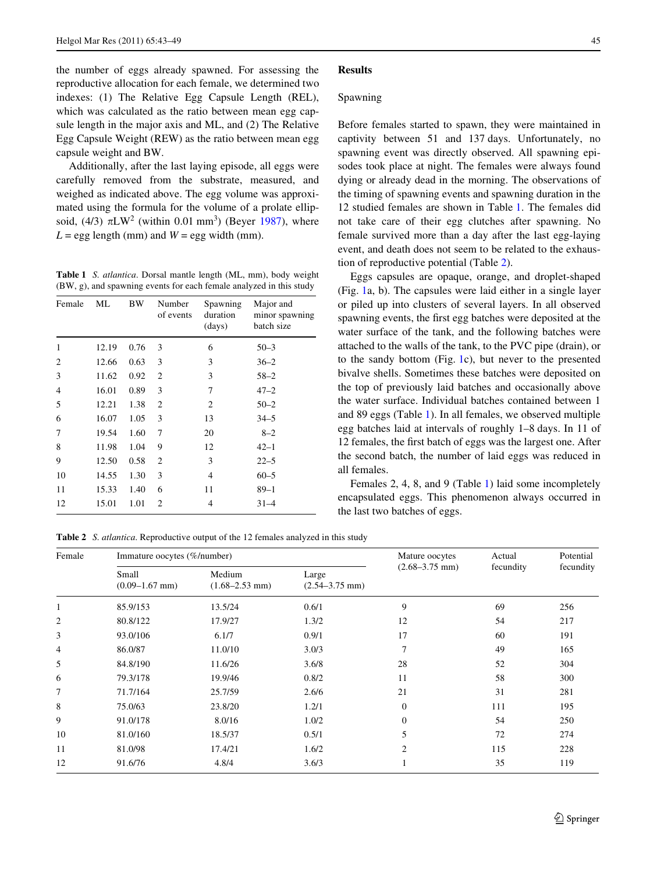the number of eggs already spawned. For assessing the reproductive allocation for each female, we determined two indexes: (1) The Relative Egg Capsule Length (REL), which was calculated as the ratio between mean egg capsule length in the major axis and ML, and (2) The Relative Egg Capsule Weight (REW) as the ratio between mean egg capsule weight and BW.

Additionally, after the last laying episode, all eggs were carefully removed from the substrate, measured, and weighed as indicated above. The egg volume was approximated using the formula for the volume of a prolate ellipsoid,  $(4/3)$   $\pi$ LW<sup>2</sup> (within 0.01 mm<sup>3</sup>) (Beyer [1987](#page-5-8)), where  $L =$  egg length (mm) and  $W =$  egg width (mm).

<span id="page-2-0"></span>**Table 1** *S. atlantica*. Dorsal mantle length (ML, mm), body weight (BW, g), and spawning events for each female analyzed in this study

| Female | МL    | BW   | Number<br>of events | Spawning<br>duration<br>(days) | Major and<br>minor spawning<br>batch size |
|--------|-------|------|---------------------|--------------------------------|-------------------------------------------|
| 1      | 12.19 | 0.76 | 3                   | 6                              | $50 - 3$                                  |
| 2      | 12.66 | 0.63 | 3                   | 3                              | $36 - 2$                                  |
| 3      | 11.62 | 0.92 | $\overline{2}$      | 3                              | $58 - 2$                                  |
| 4      | 16.01 | 0.89 | 3                   | 7                              | $47 - 2$                                  |
| 5      | 12.21 | 1.38 | 2                   | 2                              | $50 - 2$                                  |
| 6      | 16.07 | 1.05 | 3                   | 13                             | $34 - 5$                                  |
| 7      | 19.54 | 1.60 | 7                   | 20                             | $8 - 2$                                   |
| 8      | 11.98 | 1.04 | 9                   | 12                             | $42 - 1$                                  |
| 9      | 12.50 | 0.58 | $\overline{c}$      | 3                              | $22 - 5$                                  |
| 10     | 14.55 | 1.30 | 3                   | $\overline{4}$                 | $60 - 5$                                  |
| 11     | 15.33 | 1.40 | 6                   | 11                             | 89–1                                      |
| 12     | 15.01 | 1.01 | $\overline{2}$      | 4                              | $31 - 4$                                  |

<span id="page-2-1"></span>**Table 2** *S. atlantica*. Reproductive output of the 12 females analyzed in this study

Medium (1.68–2.53 mm)

(0.09–1.67 mm)

Female Immature oocytes (%/number) Mature oocytes

#### **Results**

#### Spawning

Before females started to spawn, they were maintained in captivity between 51 and 137 days. Unfortunately, no spawning event was directly observed. All spawning episodes took place at night. The females were always found dying or already dead in the morning. The observations of the timing of spawning events and spawning duration in the 12 studied females are shown in Table [1](#page-2-0). The females did not take care of their egg clutches after spawning. No female survived more than a day after the last egg-laying event, and death does not seem to be related to the exhaustion of reproductive potential (Table [2](#page-2-1)).

Eggs capsules are opaque, orange, and droplet-shaped (Fig. [1a](#page-3-0), b). The capsules were laid either in a single layer or piled up into clusters of several layers. In all observed spawning events, the first egg batches were deposited at the water surface of the tank, and the following batches were attached to the walls of the tank, to the PVC pipe (drain), or to the sandy bottom (Fig. [1c](#page-3-0)), but never to the presented bivalve shells. Sometimes these batches were deposited on the top of previously laid batches and occasionally above the water surface. Individual batches contained between 1 and 89 eggs (Table [1](#page-2-0)). In all females, we observed multiple egg batches laid at intervals of roughly 1–8 days. In 11 of 12 females, the first batch of eggs was the largest one. After the second batch, the number of laid eggs was reduced in all females.

Females 2, 4, 8, and 9 (Table [1\)](#page-2-0) laid some incompletely encapsulated eggs. This phenomenon always occurred in the last two batches of eggs.

> Actual fecundity

Potential

(2.68–3.75 mm)

Small Medium Large (2.68–3.75 mm) fecundity fecundity

Large

1 85.9/153 13.5/24 0.6/1 9 69 256 2 80.8/122 17.9/27 1.3/2 12 54 217 3 93.0/106 6.1/7 0.9/1 17 60 191 4 86.0/87 11.0/10 3.0/3 7 49 165 5 84.8/190 11.6/26 3.6/8 28 52 304 6 79.3/178 19.9/46 0.8/2 11 58 300 7 71.7/164 25.7/59 2.6/6 21 31 281 8 75.0/63 23.8/20 1.2/1 0 111 195 9 9 91.0/178 8.0/16 1.0/2 0 54 250 10 81.0/160 18.5/37 0.5/1 5 72 274 11 81.0/98 17.4/21 1.6/2 2 115 228 12 91.6/76 4.8/4 3.6/3 1 35 119

(2.54–3.75 mm)

| $\mathcal{Q}$ Springer |
|------------------------|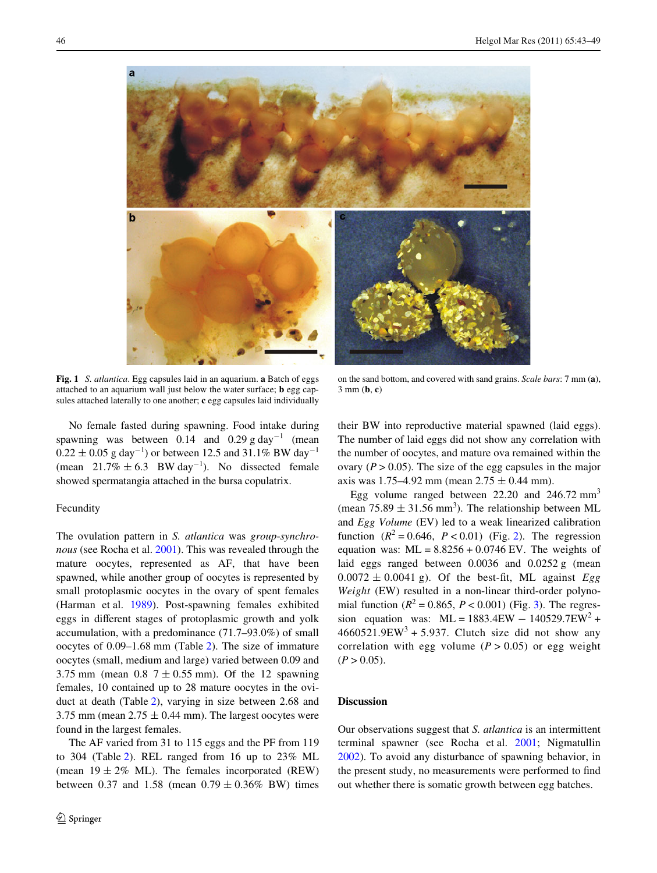

**Fig. 1** *S. atlantica*. Egg capsules laid in an aquarium. **a** Batch of eggs attached to an aquarium wall just below the water surface; **b** egg capsules attached laterally to one another; **c** egg capsules laid individually

<span id="page-3-0"></span>No female fasted during spawning. Food intake during spawning was between 0.14 and 0.29 g day<sup>-1</sup> (mean  $0.22 \pm 0.05$  g day<sup>-1</sup>) or between 12.5 and 31.1% BW day<sup>-1</sup> (mean  $21.7\% \pm 6.3$  BW day<sup>-1</sup>). No dissected female showed spermatangia attached in the bursa copulatrix.

#### Fecundity

The ovulation pattern in *S. atlantica* was *group*-*synchronous* (see Rocha et al. [2001\)](#page-6-0). This was revealed through the mature oocytes, represented as AF, that have been spawned, while another group of oocytes is represented by small protoplasmic oocytes in the ovary of spent females (Harman et al. [1989](#page-5-9)). Post-spawning females exhibited eggs in different stages of protoplasmic growth and yolk accumulation, with a predominance (71.7–93.0%) of small oocytes of 0.09–1.68 mm (Table [2\)](#page-2-1). The size of immature oocytes (small, medium and large) varied between 0.09 and 3.75 mm (mean 0.8  $7 \pm 0.55$  mm). Of the 12 spawning females, 10 contained up to 28 mature oocytes in the oviduct at death (Table [2\)](#page-2-1), varying in size between 2.68 and 3.75 mm (mean  $2.75 \pm 0.44$  mm). The largest oocytes were found in the largest females.

The AF varied from 31 to 115 eggs and the PF from 119 to 304 (Table [2](#page-2-1)). REL ranged from 16 up to 23% ML (mean  $19 \pm 2\%$  ML). The females incorporated (REW) between 0.37 and 1.58 (mean  $0.79 \pm 0.36\%$  BW) times

on the sand bottom, and covered with sand grains. *Scale bars*: 7 mm (**a**), 3 mm (**b**, **c**)

their BW into reproductive material spawned (laid eggs). The number of laid eggs did not show any correlation with the number of oocytes, and mature ova remained within the ovary  $(P > 0.05)$ . The size of the egg capsules in the major axis was 1.75–4.92 mm (mean  $2.75 \pm 0.44$  mm).

Egg volume ranged between  $22.20$  and  $246.72$  mm<sup>3</sup> (mean  $75.89 \pm 31.56$  mm<sup>3</sup>). The relationship between ML and *Egg Volume* (EV) led to a weak linearized calibration function  $(R^2 = 0.646, P < 0.01)$  $(R^2 = 0.646, P < 0.01)$  $(R^2 = 0.646, P < 0.01)$  (Fig. 2). The regression equation was:  $ML = 8.8256 + 0.0746$  EV. The weights of laid eggs ranged between 0.0036 and 0.0252 g (mean  $0.0072 \pm 0.0041$  g). Of the best-fit, ML against *Egg Weight* (EW) resulted in a non-linear third-order polynomial function ( $R^2 = 0.865$ ,  $P < 0.001$ ) (Fig. [3](#page-4-1)). The regression equation was:  $ML = 1883.4EW - 140529.7EW^2 +$  $4660521.9$ EW<sup>3</sup> + 5.937. Clutch size did not show any correlation with egg volume  $(P > 0.05)$  or egg weight  $(P > 0.05)$ .

## **Discussion**

Our observations suggest that *S. atlantica* is an intermittent terminal spawner (see Rocha et al. [2001;](#page-6-0) Nigmatullin [2002](#page-6-1)). To avoid any disturbance of spawning behavior, in the present study, no measurements were performed to find out whether there is somatic growth between egg batches.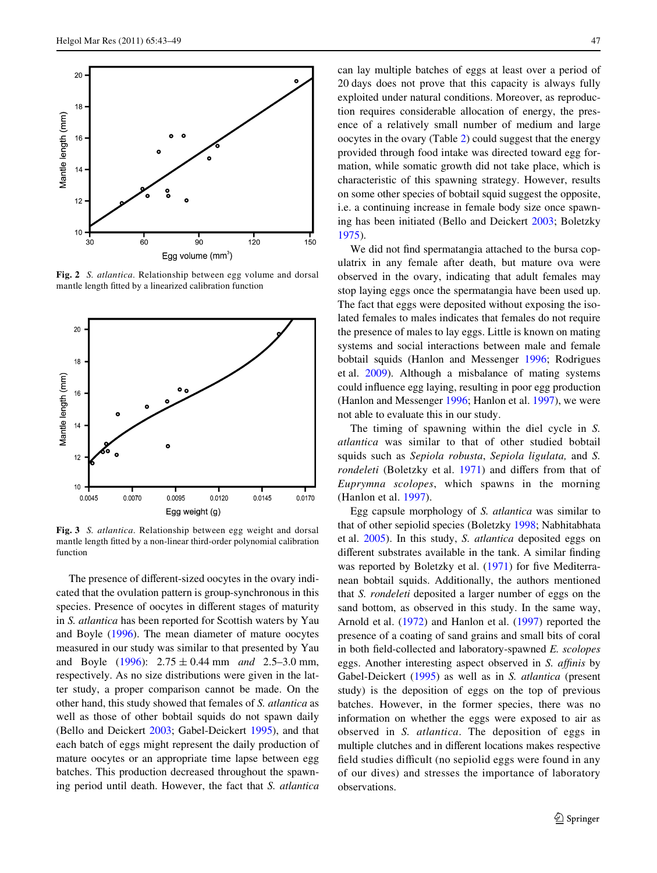

<span id="page-4-0"></span>**Fig. 2** *S. atlantica*. Relationship between egg volume and dorsal mantle length fitted by a linearized calibration function



<span id="page-4-1"></span>**Fig. 3** *S. atlantica*. Relationship between egg weight and dorsal mantle length fitted by a non-linear third-order polynomial calibration function

The presence of different-sized oocytes in the ovary indicated that the ovulation pattern is group-synchronous in this species. Presence of oocytes in different stages of maturity in *S. atlantica* has been reported for Scottish waters by Yau and Boyle ([1996\)](#page-6-4). The mean diameter of mature oocytes measured in our study was similar to that presented by Yau and Boyle  $(1996)$  $(1996)$ :  $2.75 \pm 0.44$  mm *and* 2.5–3.0 mm, respectively. As no size distributions were given in the latter study, a proper comparison cannot be made. On the other hand, this study showed that females of *S. atlantica* as well as those of other bobtail squids do not spawn daily (Bello and Deickert [2003](#page-5-2); Gabel-Deickert [1995\)](#page-5-4), and that each batch of eggs might represent the daily production of mature oocytes or an appropriate time lapse between egg batches. This production decreased throughout the spawning period until death. However, the fact that *S. atlantica* can lay multiple batches of eggs at least over a period of 20 days does not prove that this capacity is always fully exploited under natural conditions. Moreover, as reproduction requires considerable allocation of energy, the presence of a relatively small number of medium and large oocytes in the ovary (Table [2\)](#page-2-1) could suggest that the energy provided through food intake was directed toward egg formation, while somatic growth did not take place, which is characteristic of this spawning strategy. However, results on some other species of bobtail squid suggest the opposite, i.e. a continuing increase in female body size once spawning has been initiated (Bello and Deickert [2003;](#page-5-2) Boletzky [1975](#page-5-10)).

We did not find spermatangia attached to the bursa copulatrix in any female after death, but mature ova were observed in the ovary, indicating that adult females may stop laying eggs once the spermatangia have been used up. The fact that eggs were deposited without exposing the isolated females to males indicates that females do not require the presence of males to lay eggs. Little is known on mating systems and social interactions between male and female bobtail squids (Hanlon and Messenger [1996](#page-5-0); Rodrigues et al. [2009\)](#page-6-3). Although a misbalance of mating systems could influence egg laying, resulting in poor egg production (Hanlon and Messenger [1996;](#page-5-0) Hanlon et al. [1997\)](#page-5-11), we were not able to evaluate this in our study.

The timing of spawning within the diel cycle in *S. atlantica* was similar to that of other studied bobtail squids such as *Sepiola robusta*, *Sepiola ligulata,* and *S. rondeleti* (Boletzky et al. [1971](#page-5-3)) and differs from that of *Euprymna scolopes*, which spawns in the morning (Hanlon et al. [1997\)](#page-5-11).

Egg capsule morphology of *S. atlantica* was similar to that of other sepiolid species (Boletzky [1998;](#page-5-1) Nabhitabhata et al. [2005\)](#page-5-5). In this study, *S. atlantica* deposited eggs on different substrates available in the tank. A similar finding was reported by Boletzky et al.  $(1971)$  $(1971)$  for five Mediterranean bobtail squids. Additionally, the authors mentioned that *S. rondeleti* deposited a larger number of eggs on the sand bottom, as observed in this study. In the same way, Arnold et al. [\(1972](#page-5-12)) and Hanlon et al. [\(1997](#page-5-11)) reported the presence of a coating of sand grains and small bits of coral in both field-collected and laboratory-spawned *E. scolopes* eggs. Another interesting aspect observed in *S. affinis* by Gabel-Deickert [\(1995](#page-5-4)) as well as in *S. atlantica* (present study) is the deposition of eggs on the top of previous batches. However, in the former species, there was no information on whether the eggs were exposed to air as observed in *S. atlantica*. The deposition of eggs in multiple clutches and in different locations makes respective field studies difficult (no sepiolid eggs were found in any of our dives) and stresses the importance of laboratory observations.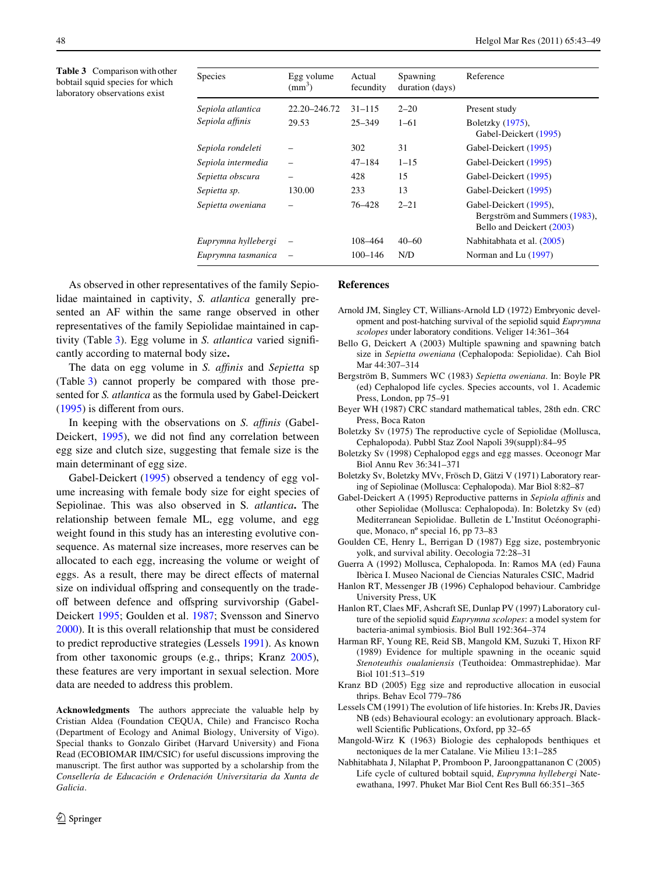<span id="page-5-13"></span>**Table 3** Comparison with other bobtail squid species for which laboratory observations exist

| Species             | Egg volume<br>$\text{(mm)}^3$ | Actual<br>fecundity | Spawning<br>duration (days) | Reference                                                                            |
|---------------------|-------------------------------|---------------------|-----------------------------|--------------------------------------------------------------------------------------|
| Sepiola atlantica   | 22.20-246.72                  | $31 - 115$          | $2 - 20$                    | Present study                                                                        |
| Sepiola affinis     | 29.53                         | $25 - 349$          | $1 - 61$                    | Boletzky (1975),<br>Gabel-Deickert (1995)                                            |
| Sepiola rondeleti   |                               | 302                 | 31                          | Gabel-Deickert (1995)                                                                |
| Sepiola intermedia  |                               | $47 - 184$          | $1 - 15$                    | Gabel-Deickert (1995)                                                                |
| Sepietta obscura    |                               | 428                 | 15                          | Gabel-Deickert (1995)                                                                |
| Sepietta sp.        | 130.00                        | 233                 | 13                          | Gabel-Deickert (1995)                                                                |
| Sepietta oweniana   |                               | 76-428              | $2 - 21$                    | Gabel-Deickert (1995),<br>Bergström and Summers (1983),<br>Bello and Deickert (2003) |
| Euprymna hyllebergi |                               | 108–464             | $40 - 60$                   | Nabhitabhata et al. (2005)                                                           |
| Euprymna tasmanica  |                               | $100 - 146$         | N/D                         | Norman and Lu (1997)                                                                 |

As observed in other representatives of the family Sepiolidae maintained in captivity, *S. atlantica* generally presented an AF within the same range observed in other representatives of the family Sepiolidae maintained in cap-tivity (Table [3](#page-5-13)). Egg volume in *S. atlantica* varied significantly according to maternal body size**.**

The data on egg volume in *S. affinis* and *Sepietta* sp (Table [3\)](#page-5-13) cannot properly be compared with those presented for *S. atlantica* as the formula used by Gabel-Deickert  $(1995)$  $(1995)$  is different from ours.

In keeping with the observations on *S. affinis* (Gabel-Deickert, [1995\)](#page-5-4), we did not find any correlation between egg size and clutch size, suggesting that female size is the main determinant of egg size.

Gabel-Deickert ([1995\)](#page-5-4) observed a tendency of egg volume increasing with female body size for eight species of Sepiolinae. This was also observed in S*. atlantica***.** The relationship between female ML, egg volume, and egg weight found in this study has an interesting evolutive consequence. As maternal size increases, more reserves can be allocated to each egg, increasing the volume or weight of eggs. As a result, there may be direct effects of maternal size on individual offspring and consequently on the tradeoff between defence and offspring survivorship (Gabel-Deickert [1995](#page-5-4); Goulden et al. [1987](#page-5-15); Svensson and Sinervo [2000](#page-6-8)). It is this overall relationship that must be considered to predict reproductive strategies (Lessels [1991\)](#page-5-16). As known from other taxonomic groups (e.g., thrips; Kranz [2005](#page-5-17)), these features are very important in sexual selection. More data are needed to address this problem.

**Acknowledgments** The authors appreciate the valuable help by Cristian Aldea (Foundation CEQUA, Chile) and Francisco Rocha (Department of Ecology and Animal Biology, University of Vigo). Special thanks to Gonzalo Giribet (Harvard University) and Fiona Read (ECOBIOMAR IIM/CSIC) for useful discussions improving the manuscript. The first author was supported by a scholarship from the *Consellería de Educación e Ordenación Universitaria da Xunta de Galicia*.

## **References**

- <span id="page-5-12"></span>Arnold JM, Singley CT, Willians-Arnold LD (1972) Embryonic development and post-hatching survival of the sepiolid squid *Euprymna scolopes* under laboratory conditions. Veliger 14:361–364
- <span id="page-5-2"></span>Bello G, Deickert A (2003) Multiple spawning and spawning batch size in *Sepietta oweniana* (Cephalopoda: Sepiolidae). Cah Biol Mar 44:307–314
- <span id="page-5-14"></span>Bergström B, Summers WC (1983) *Sepietta oweniana*. In: Boyle PR (ed) Cephalopod life cycles. Species accounts, vol 1. Academic Press, London, pp 75–91
- <span id="page-5-8"></span>Beyer WH (1987) CRC standard mathematical tables, 28th edn. CRC Press, Boca Raton
- <span id="page-5-10"></span>Boletzky Sv (1975) The reproductive cycle of Sepiolidae (Mollusca, Cephalopoda). Pubbl Staz Zool Napoli 39(suppl):84–95
- <span id="page-5-1"></span>Boletzky Sv (1998) Cephalopod eggs and egg masses. Oceonogr Mar Biol Annu Rev 36:341–371
- <span id="page-5-3"></span>Boletzky Sv, Boletzky MVv, Frösch D, Gätzi V (1971) Laboratory rearing of Sepiolinae (Mollusca: Cephalopoda). Mar Biol 8:82–87
- <span id="page-5-4"></span>Gabel-Deickert A (1995) Reproductive patterns in *Sepiola affinis* and other Sepiolidae (Mollusca: Cephalopoda). In: Boletzky Sv (ed) Mediterranean Sepiolidae. Bulletin de L'Institut Océonographique, Monaco, nº special 16, pp 73–83
- <span id="page-5-15"></span>Goulden CE, Henry L, Berrigan D (1987) Egg size, postembryonic yolk, and survival ability. Oecologia 72:28–31
- <span id="page-5-6"></span>Guerra A (1992) Mollusca, Cephalopoda. In: Ramos MA (ed) Fauna Ibèrica I. Museo Nacional de Ciencias Naturales CSIC, Madrid
- <span id="page-5-0"></span>Hanlon RT, Messenger JB (1996) Cephalopod behaviour. Cambridge University Press, UK
- <span id="page-5-11"></span>Hanlon RT, Claes MF, Ashcraft SE, Dunlap PV (1997) Laboratory culture of the sepiolid squid *Euprymna scolopes*: a model system for bacteria-animal symbiosis. Biol Bull 192:364–374
- <span id="page-5-9"></span>Harman RF, Young RE, Reid SB, Mangold KM, Suzuki T, Hixon RF (1989) Evidence for multiple spawning in the oceanic squid *Stenoteuthis oualaniensis* (Teuthoidea: Ommastrephidae). Mar Biol 101:513–519
- <span id="page-5-17"></span>Kranz BD (2005) Egg size and reproductive allocation in eusocial thrips. Behav Ecol 779–786
- <span id="page-5-16"></span>Lessels CM (1991) The evolution of life histories. In: Krebs JR, Davies NB (eds) Behavioural ecology: an evolutionary approach. Blackwell Scientific Publications, Oxford, pp 32-65
- <span id="page-5-7"></span>Mangold-Wirz K (1963) Biologie des cephalopods benthiques et nectoniques de la mer Catalane. Vie Milieu 13:1–285
- <span id="page-5-5"></span>Nabhitabhata J, Nilaphat P, Promboon P, Jaroongpattananon C (2005) Life cycle of cultured bobtail squid, *Euprymna hyllebergi* Nateewathana, 1997. Phuket Mar Biol Cent Res Bull 66:351–365